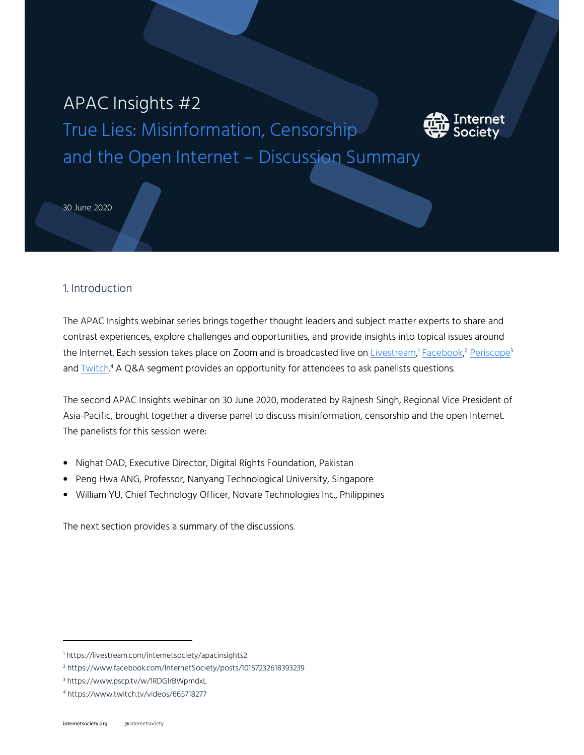# APAC Insights #2

True Lies: Misinformation, Censorship and the Open Internet – Discussion Summary



30 June 2020

## 1. Introduction

The APAC Insights webinar series brings together thought leaders and subject matter experts to share and contrast experiences, explore challenges and opportunities, and provide insights into topical issues around the Internet. Each session takes place on Zoom and is broadcasted live on <u>Livestream,<sup>1</sup> Facebook,2 Periscope</u>3 and **Twitch.<sup>4</sup> A Q&A segment provides an opportunity for attendees to ask panelists questions.** 

The second APAC Insights webinar on 30 June 2020, moderated by Rajnesh Singh, Regional Vice President of Asia-Pacific, brought together a diverse panel to discuss misinformation, censorship and the open Internet. The panelists for this session were:

- Nighat DAD, Executive Director, Digital Rights Foundation, Pakistan
- Peng Hwa ANG, Professor, Nanyang Technological University, Singapore
- William YU, Chief Technology Officer, Novare Technologies Inc., Philippines

The next section provides a summary of the discussions.

1

<sup>1</sup> https://livestream.com/internetsociety/apacinsights2

<sup>2</sup> https://www.facebook.com/InternetSociety/posts/10157232618393239

<sup>3</sup> https://www.pscp.tv/w/1RDGlrBWpmdxL

<sup>4</sup> https://www.twitch.tv/videos/665718277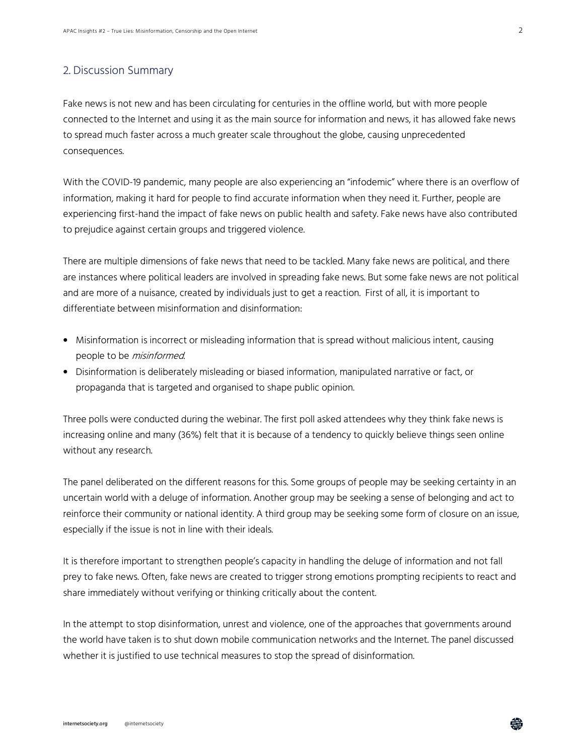### 2. Discussion Summary

Fake news is not new and has been circulating for centuries in the offline world, but with more people connected to the Internet and using it as the main source for information and news, it has allowed fake news to spread much faster across a much greater scale throughout the globe, causing unprecedented consequences.

With the COVID-19 pandemic, many people are also experiencing an "infodemic" where there is an overflow of information, making it hard for people to find accurate information when they need it. Further, people are experiencing first-hand the impact of fake news on public health and safety. Fake news have also contributed to prejudice against certain groups and triggered violence.

There are multiple dimensions of fake news that need to be tackled. Many fake news are political, and there are instances where political leaders are involved in spreading fake news. But some fake news are not political and are more of a nuisance, created by individuals just to get a reaction. First of all, it is important to differentiate between misinformation and disinformation:

- Misinformation is incorrect or misleading information that is spread without malicious intent, causing people to be *misinformed*.
- Disinformation is deliberately misleading or biased information, manipulated narrative or fact, or propaganda that is targeted and organised to shape public opinion.

Three polls were conducted during the webinar. The first poll asked attendees why they think fake news is increasing online and many (36%) felt that it is because of a tendency to quickly believe things seen online without any research.

The panel deliberated on the different reasons for this. Some groups of people may be seeking certainty in an uncertain world with a deluge of information. Another group may be seeking a sense of belonging and act to reinforce their community or national identity. A third group may be seeking some form of closure on an issue, especially if the issue is not in line with their ideals.

It is therefore important to strengthen people's capacity in handling the deluge of information and not fall prey to fake news. Often, fake news are created to trigger strong emotions prompting recipients to react and share immediately without verifying or thinking critically about the content.

In the attempt to stop disinformation, unrest and violence, one of the approaches that governments around the world have taken is to shut down mobile communication networks and the Internet. The panel discussed whether it is justified to use technical measures to stop the spread of disinformation.

鸯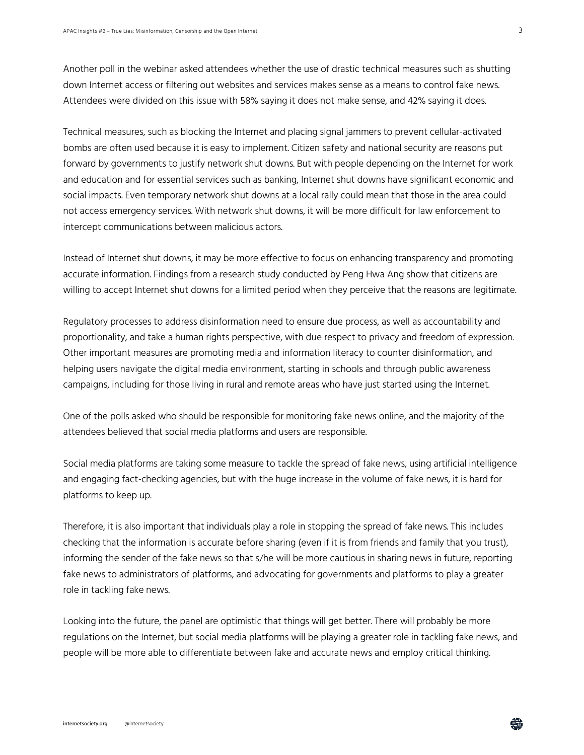Another poll in the webinar asked attendees whether the use of drastic technical measures such as shutting down Internet access or filtering out websites and services makes sense as a means to control fake news. Attendees were divided on this issue with 58% saying it does not make sense, and 42% saying it does.

Technical measures, such as blocking the Internet and placing signal jammers to prevent cellular-activated bombs are often used because it is easy to implement. Citizen safety and national security are reasons put forward by governments to justify network shut downs. But with people depending on the Internet for work and education and for essential services such as banking, Internet shut downs have significant economic and social impacts. Even temporary network shut downs at a local rally could mean that those in the area could not access emergency services. With network shut downs, it will be more difficult for law enforcement to intercept communications between malicious actors.

Instead of Internet shut downs, it may be more effective to focus on enhancing transparency and promoting accurate information. Findings from a research study conducted by Peng Hwa Ang show that citizens are willing to accept Internet shut downs for a limited period when they perceive that the reasons are legitimate.

Regulatory processes to address disinformation need to ensure due process, as well as accountability and proportionality, and take a human rights perspective, with due respect to privacy and freedom of expression. Other important measures are promoting media and information literacy to counter disinformation, and helping users navigate the digital media environment, starting in schools and through public awareness campaigns, including for those living in rural and remote areas who have just started using the Internet.

One of the polls asked who should be responsible for monitoring fake news online, and the majority of the attendees believed that social media platforms and users are responsible.

Social media platforms are taking some measure to tackle the spread of fake news, using artificial intelligence and engaging fact-checking agencies, but with the huge increase in the volume of fake news, it is hard for platforms to keep up.

Therefore, it is also important that individuals play a role in stopping the spread of fake news. This includes checking that the information is accurate before sharing (even if it is from friends and family that you trust), informing the sender of the fake news so that s/he will be more cautious in sharing news in future, reporting fake news to administrators of platforms, and advocating for governments and platforms to play a greater role in tackling fake news.

Looking into the future, the panel are optimistic that things will get better. There will probably be more regulations on the Internet, but social media platforms will be playing a greater role in tackling fake news, and people will be more able to differentiate between fake and accurate news and employ critical thinking.

3

鸯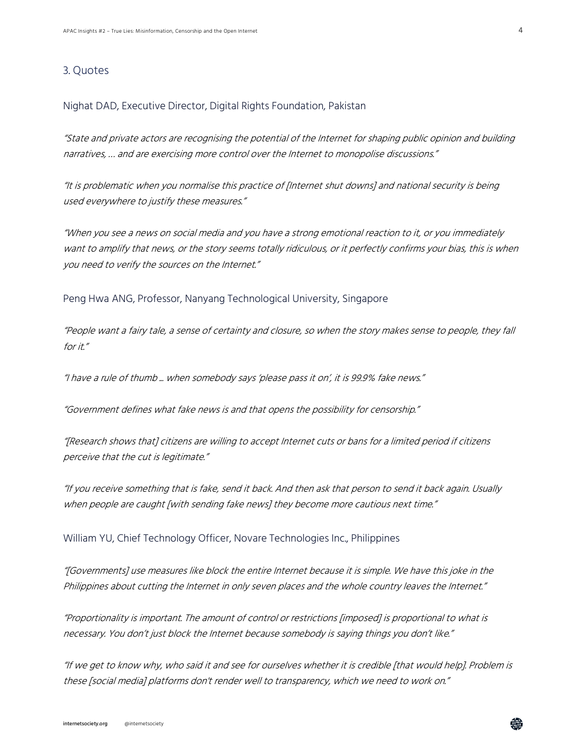#### 3. Quotes

Nighat DAD, Executive Director, Digital Rights Foundation, Pakistan

"State and private actors are recognising the potential of the Internet for shaping public opinion and building narratives, … and are exercising more control over the Internet to monopolise discussions."

"It is problematic when you normalise this practice of [Internet shut downs] and national security is being used everywhere to justify these measures."

"When you see a news on social media and you have a strong emotional reaction to it, or you immediately want to amplify that news, or the story seems totally ridiculous, or it perfectly confirms your bias, this is when you need to verify the sources on the Internet."

Peng Hwa ANG, Professor, Nanyang Technological University, Singapore

"People want a fairy tale, a sense of certainty and closure, so when the story makes sense to people, they fall for it."

"I have a rule of thumb ... when somebody says 'please pass it on', it is 99.9% fake news."

"Government defines what fake news is and that opens the possibility for censorship."

"[Research shows that] citizens are willing to accept Internet cuts or bans for a limited period if citizens perceive that the cut is legitimate."

"If you receive something that is fake, send it back. And then ask that person to send it back again. Usually when people are caught [with sending fake news] they become more cautious next time."

William YU, Chief Technology Officer, Novare Technologies Inc., Philippines

"[Governments] use measures like block the entire Internet because it is simple. We have this joke in the Philippines about cutting the Internet in only seven places and the whole country leaves the Internet."

"Proportionality is important. The amount of control or restrictions [imposed] is proportional to what is necessary. You don't just block the Internet because somebody is saying things you don't like."

"If we get to know why, who said it and see for ourselves whether it is credible [that would help]. Problem is these [social media] platforms don't render well to transparency, which we need to work on."

每